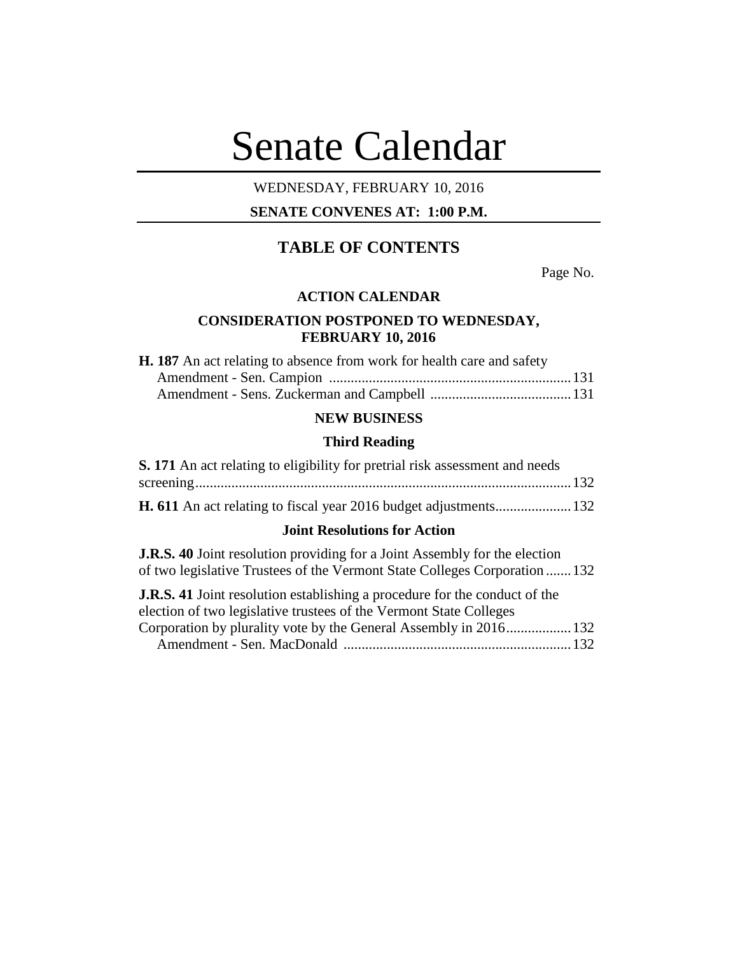# Senate Calendar

# WEDNESDAY, FEBRUARY 10, 2016

# **SENATE CONVENES AT: 1:00 P.M.**

# **TABLE OF CONTENTS**

Page No.

#### **ACTION CALENDAR**

# **CONSIDERATION POSTPONED TO WEDNESDAY, FEBRUARY 10, 2016**

| <b>H. 187</b> An act relating to absence from work for health care and safety |  |
|-------------------------------------------------------------------------------|--|
|                                                                               |  |
|                                                                               |  |

# **NEW BUSINESS**

#### **Third Reading**

| <b>S. 171</b> An act relating to eligibility for pretrial risk assessment and needs |  |
|-------------------------------------------------------------------------------------|--|
|                                                                                     |  |
|                                                                                     |  |

# **Joint Resolutions for Action**

**J.R.S. 40** Joint resolution providing for a Joint Assembly for the election of two legislative Trustees of the Vermont State Colleges Corporation .......132 **J.D.C.** 41 Joint resolution establishing a procedure for the conduct of the

| <b>J.K.S.</b> 41 Joint resolution establishing a procedure for the conduct of the |  |
|-----------------------------------------------------------------------------------|--|
| election of two legislative trustees of the Vermont State Colleges                |  |
| Corporation by plurality vote by the General Assembly in 2016 132                 |  |
|                                                                                   |  |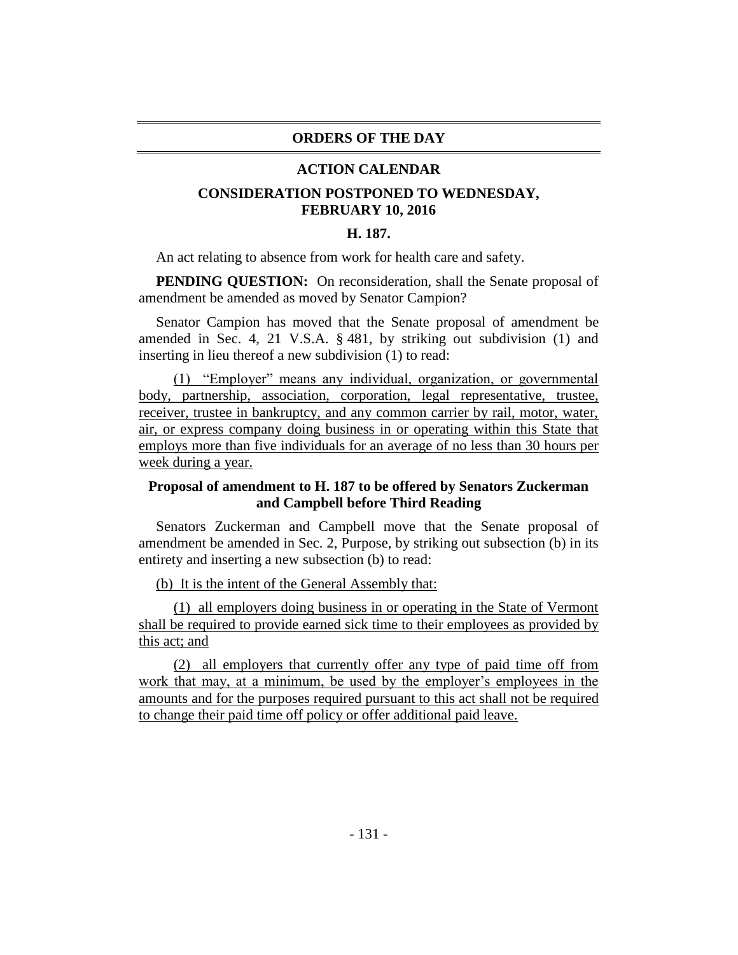#### **ORDERS OF THE DAY**

#### **ACTION CALENDAR**

# **CONSIDERATION POSTPONED TO WEDNESDAY, FEBRUARY 10, 2016**

#### **H. 187.**

An act relating to absence from work for health care and safety.

**PENDING QUESTION:** On reconsideration, shall the Senate proposal of amendment be amended as moved by Senator Campion?

Senator Campion has moved that the Senate proposal of amendment be amended in Sec. 4, 21 V.S.A. § 481, by striking out subdivision (1) and inserting in lieu thereof a new subdivision (1) to read:

(1) "Employer" means any individual, organization, or governmental body, partnership, association, corporation, legal representative, trustee, receiver, trustee in bankruptcy, and any common carrier by rail, motor, water, air, or express company doing business in or operating within this State that employs more than five individuals for an average of no less than 30 hours per week during a year.

# **Proposal of amendment to H. 187 to be offered by Senators Zuckerman and Campbell before Third Reading**

Senators Zuckerman and Campbell move that the Senate proposal of amendment be amended in Sec. 2, Purpose, by striking out subsection (b) in its entirety and inserting a new subsection (b) to read:

(b) It is the intent of the General Assembly that:

(1) all employers doing business in or operating in the State of Vermont shall be required to provide earned sick time to their employees as provided by this act; and

(2) all employers that currently offer any type of paid time off from work that may, at a minimum, be used by the employer's employees in the amounts and for the purposes required pursuant to this act shall not be required to change their paid time off policy or offer additional paid leave.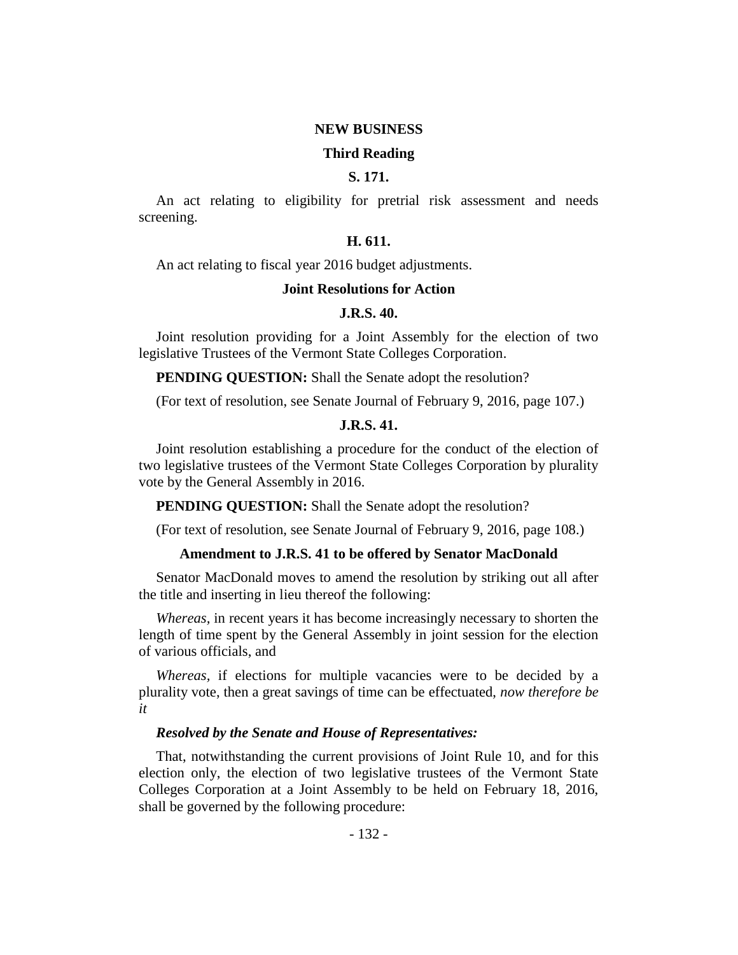#### **NEW BUSINESS**

#### **Third Reading**

## **S. 171.**

An act relating to eligibility for pretrial risk assessment and needs screening.

# **H. 611.**

An act relating to fiscal year 2016 budget adjustments.

#### **Joint Resolutions for Action**

## **J.R.S. 40.**

Joint resolution providing for a Joint Assembly for the election of two legislative Trustees of the Vermont State Colleges Corporation.

**PENDING QUESTION:** Shall the Senate adopt the resolution?

(For text of resolution, see Senate Journal of February 9, 2016, page 107.)

#### **J.R.S. 41.**

Joint resolution establishing a procedure for the conduct of the election of two legislative trustees of the Vermont State Colleges Corporation by plurality vote by the General Assembly in 2016.

**PENDING QUESTION:** Shall the Senate adopt the resolution?

(For text of resolution, see Senate Journal of February 9, 2016, page 108.)

#### **Amendment to J.R.S. 41 to be offered by Senator MacDonald**

Senator MacDonald moves to amend the resolution by striking out all after the title and inserting in lieu thereof the following:

*Whereas,* in recent years it has become increasingly necessary to shorten the length of time spent by the General Assembly in joint session for the election of various officials, and

*Whereas,* if elections for multiple vacancies were to be decided by a plurality vote, then a great savings of time can be effectuated, *now therefore be it*

#### *Resolved by the Senate and House of Representatives:*

That, notwithstanding the current provisions of Joint Rule 10, and for this election only, the election of two legislative trustees of the Vermont State Colleges Corporation at a Joint Assembly to be held on February 18, 2016, shall be governed by the following procedure: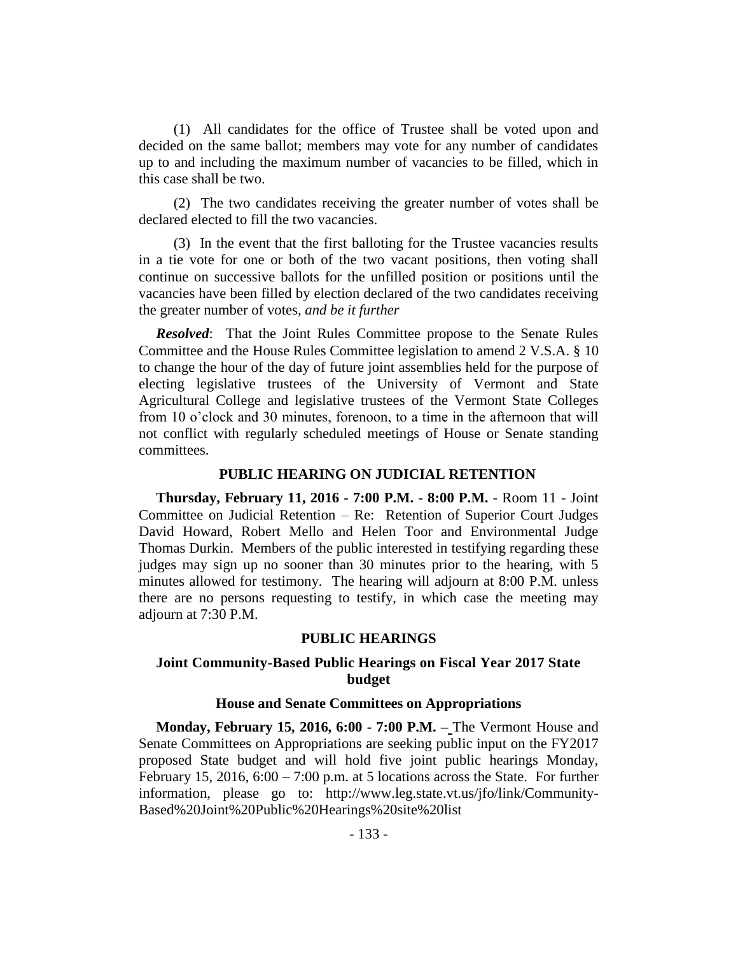(1) All candidates for the office of Trustee shall be voted upon and decided on the same ballot; members may vote for any number of candidates up to and including the maximum number of vacancies to be filled, which in this case shall be two.

(2) The two candidates receiving the greater number of votes shall be declared elected to fill the two vacancies.

(3) In the event that the first balloting for the Trustee vacancies results in a tie vote for one or both of the two vacant positions, then voting shall continue on successive ballots for the unfilled position or positions until the vacancies have been filled by election declared of the two candidates receiving the greater number of votes, *and be it further*

*Resolved*: That the Joint Rules Committee propose to the Senate Rules Committee and the House Rules Committee legislation to amend 2 V.S.A. § 10 to change the hour of the day of future joint assemblies held for the purpose of electing legislative trustees of the University of Vermont and State Agricultural College and legislative trustees of the Vermont State Colleges from 10 o'clock and 30 minutes, forenoon, to a time in the afternoon that will not conflict with regularly scheduled meetings of House or Senate standing committees.

#### **PUBLIC HEARING ON JUDICIAL RETENTION**

**Thursday, February 11, 2016 - 7:00 P.M. - 8:00 P.M.** - Room 11 - Joint Committee on Judicial Retention – Re: Retention of Superior Court Judges David Howard, Robert Mello and Helen Toor and Environmental Judge Thomas Durkin. Members of the public interested in testifying regarding these judges may sign up no sooner than 30 minutes prior to the hearing, with 5 minutes allowed for testimony. The hearing will adjourn at 8:00 P.M. unless there are no persons requesting to testify, in which case the meeting may adjourn at 7:30 P.M.

#### **PUBLIC HEARINGS**

## **Joint Community-Based Public Hearings on Fiscal Year 2017 State budget**

#### **House and Senate Committees on Appropriations**

**Monday, February 15, 2016, 6:00 - 7:00 P.M. –** The Vermont House and Senate Committees on Appropriations are seeking public input on the FY2017 proposed State budget and will hold five joint public hearings Monday, February 15, 2016,  $6:00 - 7:00$  p.m. at 5 locations across the State. For further information, please go to: http://www.leg.state.vt.us/jfo/link/Community-Based%20Joint%20Public%20Hearings%20site%20list